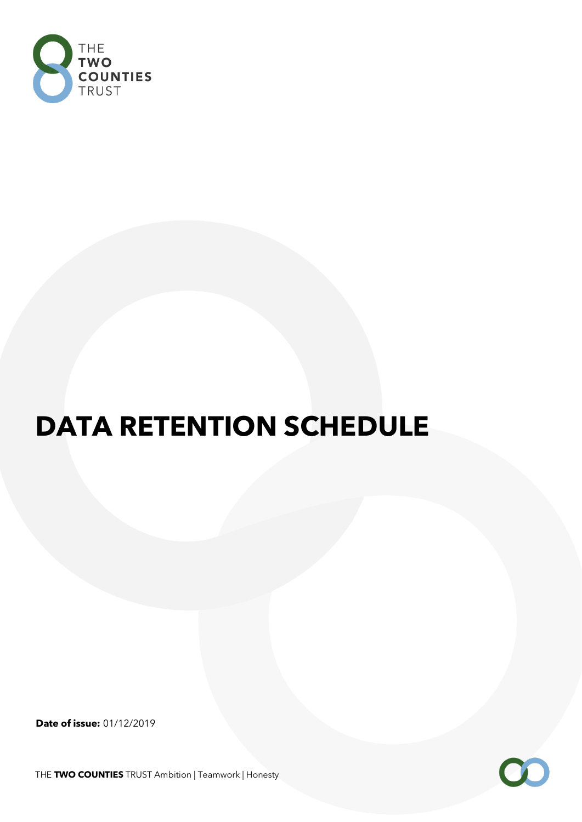

## **DATA RETENTION SCHEDULE**

**Date of issue:** 01/12/2019

THE **TWO COUNTIES** TRUST Ambition | Teamwork | Honesty

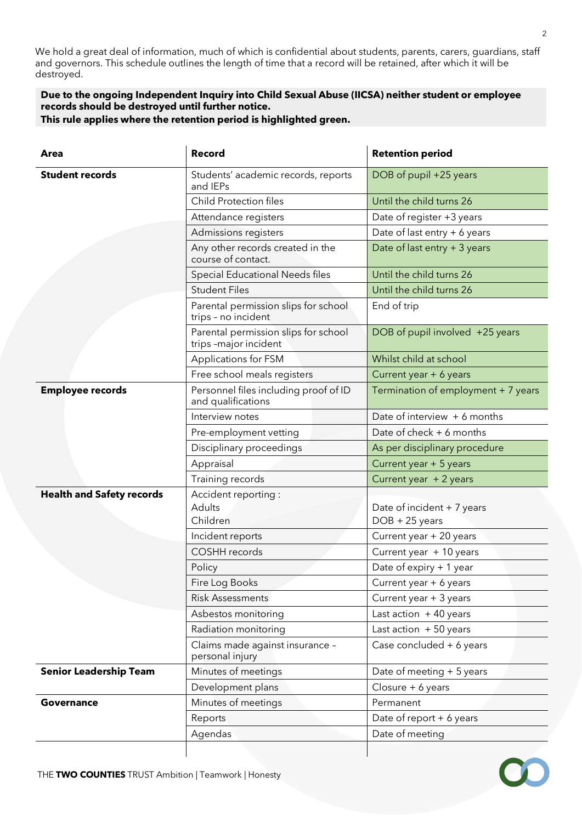We hold a great deal of information, much of which is confidential about students, parents, carers, guardians, staff and governors. This schedule outlines the length of time that a record will be retained, after which it will be destroyed.

## **Due to the ongoing Independent Inquiry into Child Sexual Abuse (IICSA) neither student or employee records should be destroyed until further notice.**

**This rule applies where the retention period is highlighted green.**

| Area                             | <b>Record</b>                                                 | <b>Retention period</b>                        |
|----------------------------------|---------------------------------------------------------------|------------------------------------------------|
| <b>Student records</b>           | Students' academic records, reports<br>and IEPs               | DOB of pupil +25 years                         |
|                                  | <b>Child Protection files</b>                                 | Until the child turns 26                       |
|                                  | Attendance registers                                          | Date of register +3 years                      |
|                                  | Admissions registers                                          | Date of last entry + 6 years                   |
|                                  | Any other records created in the<br>course of contact.        | Date of last entry + 3 years                   |
|                                  | Special Educational Needs files                               | Until the child turns 26                       |
|                                  | <b>Student Files</b>                                          | Until the child turns 26                       |
|                                  | Parental permission slips for school<br>trips - no incident   | End of trip                                    |
|                                  | Parental permission slips for school<br>trips -major incident | DOB of pupil involved +25 years                |
|                                  | Applications for FSM                                          | Whilst child at school                         |
|                                  | Free school meals registers                                   | Current year + 6 years                         |
| <b>Employee records</b>          | Personnel files including proof of ID<br>and qualifications   | Termination of employment + 7 years            |
|                                  | Interview notes                                               | Date of interview + 6 months                   |
|                                  | Pre-employment vetting                                        | Date of check + 6 months                       |
|                                  | Disciplinary proceedings                                      | As per disciplinary procedure                  |
|                                  | Appraisal                                                     | Current year + 5 years                         |
|                                  | Training records                                              | Current year + 2 years                         |
| <b>Health and Safety records</b> | Accident reporting :<br>Adults<br>Children                    | Date of incident + 7 years<br>$DOB + 25$ years |
|                                  | Incident reports                                              | Current year + 20 years                        |
|                                  | COSHH records                                                 | Current year + 10 years                        |
|                                  | Policy                                                        | Date of expiry + 1 year                        |
|                                  | Fire Log Books                                                | Current year + 6 years                         |
|                                  | <b>Risk Assessments</b>                                       | Current year + 3 years                         |
|                                  | Asbestos monitoring                                           | Last action $+40$ years                        |
|                                  | Radiation monitoring                                          | Last action $+50$ years                        |
|                                  | Claims made against insurance -<br>personal injury            | Case concluded + 6 years                       |
| <b>Senior Leadership Team</b>    | Minutes of meetings                                           | Date of meeting + 5 years                      |
|                                  | Development plans                                             | Closure + 6 years                              |
| <b>Governance</b>                | Minutes of meetings                                           | Permanent                                      |
|                                  | Reports                                                       | Date of report + 6 years                       |
|                                  | Agendas                                                       | Date of meeting                                |
|                                  |                                                               |                                                |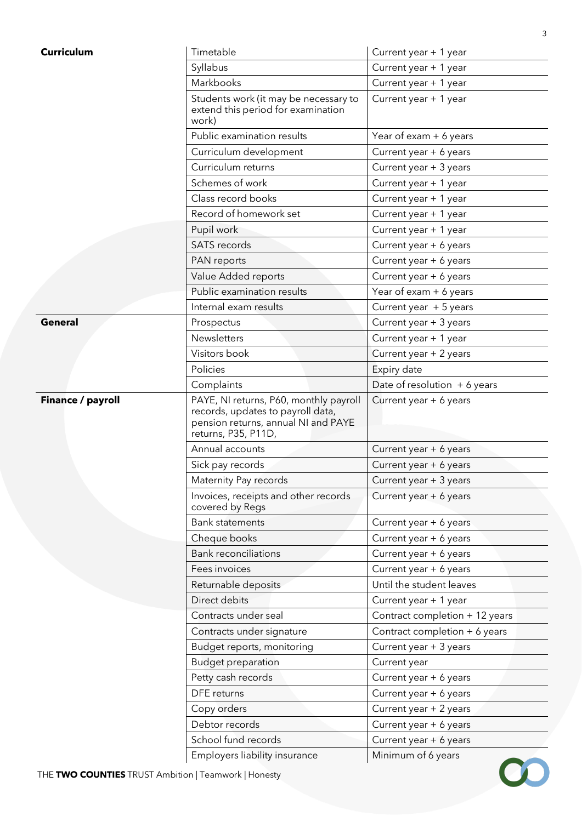| <b>Curriculum</b>                                    | Timetable                                                                                                                                 | Current year + 1 year          |
|------------------------------------------------------|-------------------------------------------------------------------------------------------------------------------------------------------|--------------------------------|
|                                                      | Syllabus                                                                                                                                  | Current year + 1 year          |
|                                                      | Markbooks                                                                                                                                 | Current year + 1 year          |
|                                                      | Students work (it may be necessary to<br>extend this period for examination<br>work)                                                      | Current year + 1 year          |
|                                                      | Public examination results                                                                                                                | Year of exam + 6 years         |
|                                                      | Curriculum development                                                                                                                    | Current year + 6 years         |
|                                                      | Curriculum returns                                                                                                                        | Current year + 3 years         |
|                                                      | Schemes of work                                                                                                                           | Current year + 1 year          |
|                                                      | Class record books                                                                                                                        | Current year + 1 year          |
|                                                      | Record of homework set                                                                                                                    | Current year + 1 year          |
|                                                      | Pupil work                                                                                                                                | Current year + 1 year          |
|                                                      | <b>SATS</b> records                                                                                                                       | Current year + 6 years         |
|                                                      | PAN reports                                                                                                                               | Current year + 6 years         |
|                                                      | Value Added reports                                                                                                                       | Current year + 6 years         |
|                                                      | Public examination results                                                                                                                | Year of exam + 6 years         |
|                                                      | Internal exam results                                                                                                                     | Current year + 5 years         |
| <b>General</b>                                       | Prospectus                                                                                                                                | Current year + 3 years         |
|                                                      | <b>Newsletters</b>                                                                                                                        | Current year + 1 year          |
|                                                      | Visitors book                                                                                                                             | Current year + 2 years         |
|                                                      | Policies                                                                                                                                  | Expiry date                    |
|                                                      | Complaints                                                                                                                                | Date of resolution $+6$ years  |
| Finance / payroll                                    | PAYE, NI returns, P60, monthly payroll<br>records, updates to payroll data,<br>pension returns, annual NI and PAYE<br>returns, P35, P11D, | Current year + 6 years         |
|                                                      | Annual accounts                                                                                                                           | Current year + 6 years         |
|                                                      | Sick pay records                                                                                                                          | Current year + 6 years         |
|                                                      | Maternity Pay records                                                                                                                     | Current year + 3 years         |
|                                                      | Invoices, receipts and other records<br>covered by Regs                                                                                   | Current year + 6 years         |
|                                                      | <b>Bank statements</b>                                                                                                                    | Current year + 6 years         |
|                                                      | Cheque books                                                                                                                              | Current year + 6 years         |
|                                                      | <b>Bank reconciliations</b>                                                                                                               | Current year + 6 years         |
|                                                      | Fees invoices                                                                                                                             | Current year + 6 years         |
|                                                      | Returnable deposits                                                                                                                       | Until the student leaves       |
|                                                      | Direct debits                                                                                                                             | Current year + 1 year          |
|                                                      | Contracts under seal                                                                                                                      | Contract completion + 12 years |
|                                                      | Contracts under signature                                                                                                                 | Contract completion + 6 years  |
|                                                      | Budget reports, monitoring                                                                                                                | Current year + 3 years         |
|                                                      | <b>Budget preparation</b>                                                                                                                 | Current year                   |
|                                                      | Petty cash records                                                                                                                        | Current year + 6 years         |
|                                                      | DFE returns                                                                                                                               | Current year + 6 years         |
|                                                      | Copy orders                                                                                                                               | Current year + 2 years         |
|                                                      | Debtor records                                                                                                                            | Current year + 6 years         |
|                                                      | School fund records                                                                                                                       | Current year + 6 years         |
|                                                      | Employers liability insurance                                                                                                             | Minimum of 6 years             |
| THE TWO COUNTIES TRUST Ambition   Teamwork   Honesty |                                                                                                                                           |                                |